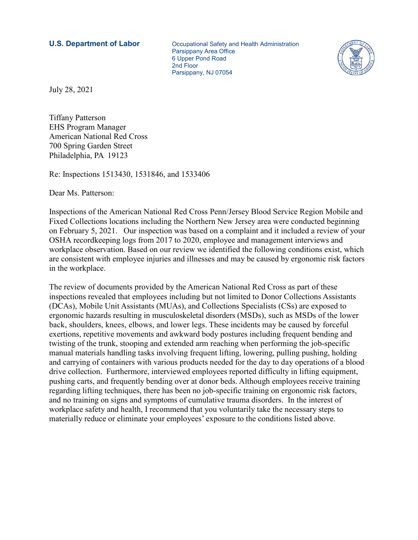**U.S. Department of Labor Communistry and Health Administration**  Parsippany Area Office 6 Upper Pond Road 2nd Floor Parsippany, NJ 07054



July 28, 2021

Tiffany Patterson EHS Program Manager American National Red Cross 700 Spring Garden Street Philadelphia, PA 19123

Re: Inspections 1513430, 1531846, and 1533406

Dear Ms. Patterson:

Inspections of the American National Red Cross Penn/Jersey Blood Service Region Mobile and Fixed Collections locations including the Northern New Jersey area were conducted beginning on February 5, 2021. Our inspection was based on a complaint and it included a review of your OSHA recordkeeping logs from 2017 to 2020, employee and management interviews and workplace observation. Based on our review we identified the following conditions exist, which are consistent with employee injuries and illnesses and may be caused by ergonomic risk factors in the workplace.

The review of documents provided by the American National Red Cross as part of these inspections revealed that employees including but not limited to Donor Collections Assistants (DCAs), Mobile Unit Assistants (MUAs), and Collections Specialists (CSs) are exposed to ergonomic hazards resulting in musculoskeletal disorders (MSDs), such as MSDs of the lower back, shoulders, knees, elbows, and lower legs. These incidents may be caused by forceful exertions, repetitive movements and awkward body postures including frequent bending and twisting of the trunk, stooping and extended arm reaching when performing the job-specific manual materials handling tasks involving frequent lifting, lowering, pulling pushing, holding and carrying of containers with various products needed for the day to day operations of a blood drive collection. Furthermore, interviewed employees reported difficulty in lifting equipment, pushing carts, and frequently bending over at donor beds. Although employees receive training regarding lifting techniques, there has been no job-specific training on ergonomic risk factors, and no training on signs and symptoms of cumulative trauma disorders. In the interest of workplace safety and health, I recommend that you voluntarily take the necessary steps to materially reduce or eliminate your employees' exposure to the conditions listed above.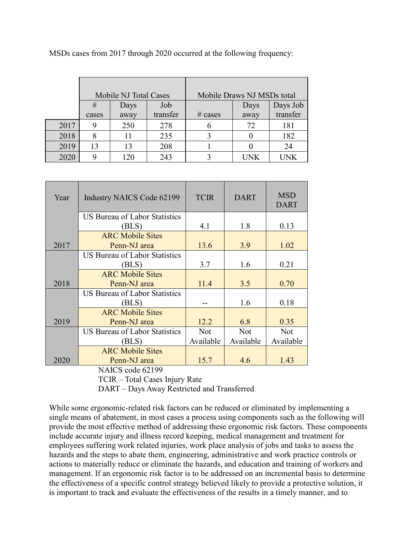MSDs cases from 2017 through 2020 occurred at the following frequency:

|      | Mobile NJ Total Cases |      |          | Mobile Draws NJ MSDs total |            |          |
|------|-----------------------|------|----------|----------------------------|------------|----------|
|      | #                     | Days | Job      |                            | Days       | Days Job |
|      | cases                 | away | transfer | $\#$ cases                 | away       | transfer |
| 2017 |                       | 250  | 278      | b                          | 72         | 181      |
| 2018 |                       |      | 235      |                            |            | 182      |
| 2019 | 13                    | 13   | 208      |                            |            | 24       |
| 2020 |                       | 20   | 243      |                            | <b>TNK</b> | I INK    |

| Year | <b>Industry NAICS Code 62199</b>     | <b>TCIR</b> | <b>DART</b> | <b>MSD</b><br><b>DART</b> |
|------|--------------------------------------|-------------|-------------|---------------------------|
|      | <b>US Bureau of Labor Statistics</b> |             |             |                           |
|      | (BLS)                                | 4.1         | 1.8         | 0.13                      |
|      | <b>ARC Mobile Sites</b>              |             |             |                           |
| 2017 | Penn-NJ area                         | 13.6        | 3.9         | 1.02                      |
|      | US Bureau of Labor Statistics        |             |             |                           |
|      | (BLS)                                | 3.7         | 1.6         | 0.21                      |
|      | <b>ARC Mobile Sites</b>              |             |             |                           |
| 2018 | Penn-NJ area                         | 11.4        | 3.5         | 0.70                      |
|      | US Bureau of Labor Statistics        |             |             |                           |
|      | (BLS)                                |             | 1.6         | 0.18                      |
|      | <b>ARC Mobile Sites</b>              |             |             |                           |
| 2019 | Penn-NJ area                         | 12.2        | 6.8         | 0.35                      |
|      | <b>US Bureau of Labor Statistics</b> | <b>Not</b>  | <b>Not</b>  | <b>Not</b>                |
|      | (BLS)                                | Available   | Available   | Available                 |
|      | <b>ARC Mobile Sites</b>              |             |             |                           |
| 2020 | Penn-NJ area                         | 15.7        | 4.6         | 1.43                      |

NAICS code 62199

TCIR – Total Cases Injury Rate

DART – Days Away Restricted and Transferred

While some ergonomic-related risk factors can be reduced or eliminated by implementing a single means of abatement, in most cases a process using components such as the following will provide the most effective method of addressing these ergonomic risk factors. These components include accurate injury and illness record keeping, medical management and treatment for employees suffering work related injuries, work place analysis of jobs and tasks to assess the hazards and the steps to abate them, engineering, administrative and work practice controls or actions to materially reduce or eliminate the hazards, and education and training of workers and management. If an ergonomic risk factor is to be addressed on an incremental basis to determine the effectiveness of a specific control strategy believed likely to provide a protective solution, it is important to track and evaluate the effectiveness of the results in a timely manner, and to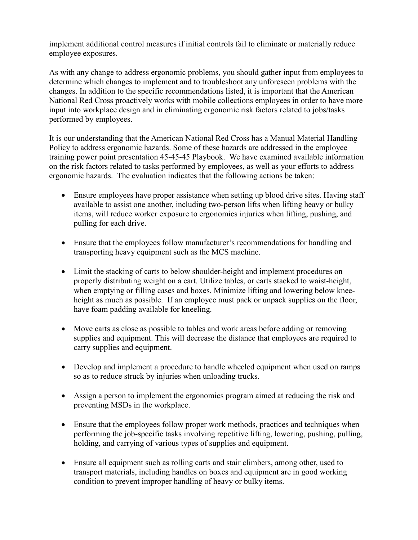implement additional control measures if initial controls fail to eliminate or materially reduce employee exposures.

As with any change to address ergonomic problems, you should gather input from employees to determine which changes to implement and to troubleshoot any unforeseen problems with the changes. In addition to the specific recommendations listed, it is important that the American National Red Cross proactively works with mobile collections employees in order to have more input into workplace design and in eliminating ergonomic risk factors related to jobs/tasks performed by employees.

It is our understanding that the American National Red Cross has a Manual Material Handling Policy to address ergonomic hazards. Some of these hazards are addressed in the employee training power point presentation 45-45-45 Playbook. We have examined available information on the risk factors related to tasks performed by employees, as well as your efforts to address ergonomic hazards. The evaluation indicates that the following actions be taken:

- Ensure employees have proper assistance when setting up blood drive sites. Having staff available to assist one another, including two-person lifts when lifting heavy or bulky items, will reduce worker exposure to ergonomics injuries when lifting, pushing, and pulling for each drive.
- Ensure that the employees follow manufacturer's recommendations for handling and transporting heavy equipment such as the MCS machine.
- Limit the stacking of carts to below shoulder-height and implement procedures on properly distributing weight on a cart. Utilize tables, or carts stacked to waist-height, when emptying or filling cases and boxes. Minimize lifting and lowering below kneeheight as much as possible. If an employee must pack or unpack supplies on the floor, have foam padding available for kneeling.
- Move carts as close as possible to tables and work areas before adding or removing supplies and equipment. This will decrease the distance that employees are required to carry supplies and equipment.
- Develop and implement a procedure to handle wheeled equipment when used on ramps so as to reduce struck by injuries when unloading trucks.
- Assign a person to implement the ergonomics program aimed at reducing the risk and preventing MSDs in the workplace.
- Ensure that the employees follow proper work methods, practices and techniques when performing the job-specific tasks involving repetitive lifting, lowering, pushing, pulling, holding, and carrying of various types of supplies and equipment.
- Ensure all equipment such as rolling carts and stair climbers, among other, used to transport materials, including handles on boxes and equipment are in good working condition to prevent improper handling of heavy or bulky items.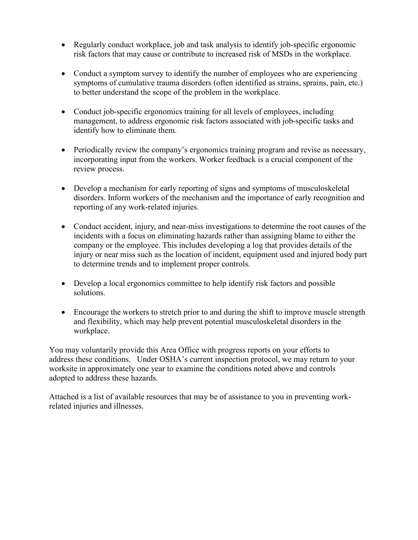- Regularly conduct workplace, job and task analysis to identify job-specific ergonomic risk factors that may cause or contribute to increased risk of MSDs in the workplace.
- Conduct a symptom survey to identify the number of employees who are experiencing symptoms of cumulative trauma disorders (often identified as strains, sprains, pain, etc.) to better understand the scope of the problem in the workplace.
- Conduct job-specific ergonomics training for all levels of employees, including management, to address ergonomic risk factors associated with job-specific tasks and identify how to eliminate them.
- Periodically review the company's ergonomics training program and revise as necessary, incorporating input from the workers. Worker feedback is a crucial component of the review process.
- Develop a mechanism for early reporting of signs and symptoms of musculoskeletal disorders. Inform workers of the mechanism and the importance of early recognition and reporting of any work-related injuries.
- Conduct accident, injury, and near-miss investigations to determine the root causes of the incidents with a focus on eliminating hazards rather than assigning blame to either the company or the employee. This includes developing a log that provides details of the injury or near miss such as the location of incident, equipment used and injured body part to determine trends and to implement proper controls.
- Develop a local ergonomics committee to help identify risk factors and possible solutions.
- Encourage the workers to stretch prior to and during the shift to improve muscle strength and flexibility, which may help prevent potential musculoskeletal disorders in the workplace.

You may voluntarily provide this Area Office with progress reports on your efforts to address these conditions. Under OSHA's current inspection protocol, we may return to your worksite in approximately one year to examine the conditions noted above and controls adopted to address these hazards.

Attached is a list of available resources that may be of assistance to you in preventing workrelated injuries and illnesses.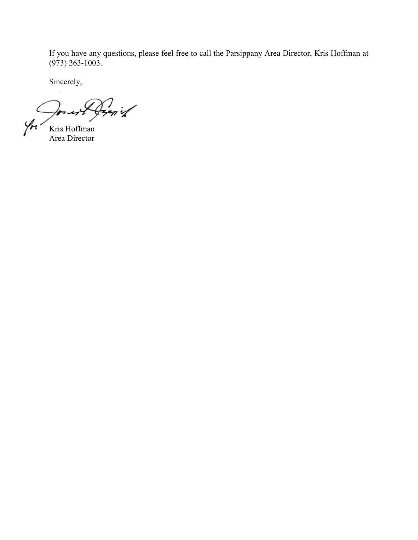If you have any questions, please feel free to call the Parsippany Area Director, Kris Hoffman at (973) 263-1003.

Sincerely,

Perniz  $7 - 47$ Yн

Kris Hoffman Area Director